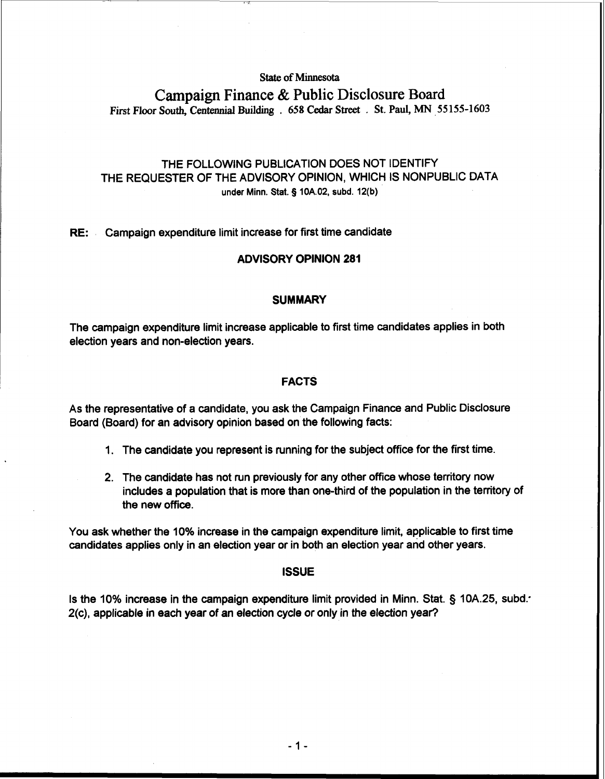### **State of Minnesota**

# **Campaign Finance** & **Public Disclosure Board First Floor South, Centennial Building** . 658 **Cedar Street** . **St. Paul, MN** 55 155-1603

## THE FOLLOWING PUBLICATION DOES NOT IDENTIFY THE REQUESTER OF THE ADVISORY OPINION, WHICH IS NONPUBLIC DATA **under Minn.** Stat. **5 10A.02, subd. 12(b)**

#### **RE:** Campaign expenditure limit increase for first time candidate

#### **ADVISORY OPINION 281**

#### **SUMMARY**

The campaign expenditure limit increase applicable to first time candidates applies in both election years and non-election years.

#### **FACTS**

As the representative of a candidate, you ask the Campaign Finance and Public Disclosure Board (Board) for an advisory opinion based on the following facts:

- 1. The candidate you represent is running for the subject office for the first time.
- 2. The candidate has not run previously for any other office whose territory now includes a population that is more than one-third of the population in the territory of the new office.

You ask whether the 10% increase in the campaign expenditure limit, applicable to first time candidates applies only in an election year or in both an election year and other years.

#### **ISSUE**

Is the 10% increase in the campaign expenditure limit provided in Minn. Stat. § 10A.25, subd: 2(c), applicable in each year of an election cycle or only in the election year?